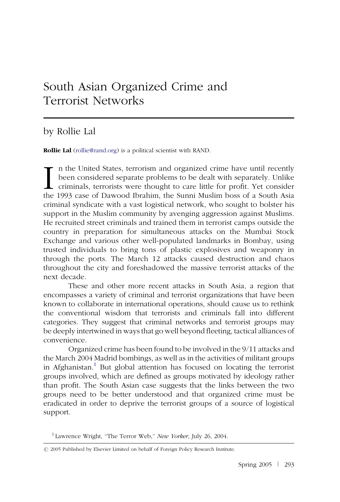# South Asian Organized Crime and Terrorist Networks

# by Rollie Lal

Rollie Lal ([rollie@rand.org\)](mailto:rollie@rand.org) is a political scientist with RAND.

In the United States, terrorism and organized crime have until recently been considered separate problems to be dealt with separately. Unlike criminals, terrorists were thought to care little for profit. Yet consider the 1 n the United States, terrorism and organized crime have until recently been considered separate problems to be dealt with separately. Unlike criminals, terrorists were thought to care little for profit. Yet consider criminal syndicate with a vast logistical network, who sought to bolster his support in the Muslim community by avenging aggression against Muslims. He recruited street criminals and trained them in terrorist camps outside the country in preparation for simultaneous attacks on the Mumbai Stock Exchange and various other well-populated landmarks in Bombay, using trusted individuals to bring tons of plastic explosives and weaponry in through the ports. The March 12 attacks caused destruction and chaos throughout the city and foreshadowed the massive terrorist attacks of the next decade.

These and other more recent attacks in South Asia, a region that encompasses a variety of criminal and terrorist organizations that have been known to collaborate in international operations, should cause us to rethink the conventional wisdom that terrorists and criminals fall into different categories. They suggest that criminal networks and terrorist groups may be deeply intertwined in ways that go well beyond fleeting, tactical alliances of convenience.

Organized crime has been found to be involved in the 9/11 attacks and the March 2004 Madrid bombings, as well as in the activities of militant groups in Afghanistan.<sup>1</sup> But global attention has focused on locating the terrorist groups involved, which are defined as groups motivated by ideology rather than profit. The South Asian case suggests that the links between the two groups need to be better understood and that organized crime must be eradicated in order to deprive the terrorist groups of a source of logistical support.

<sup>1</sup> Lawrence Wright, "The Terror Web," New Yorker, July 26, 2004.

 $\circled{c}$  2005 Published by Elsevier Limited on behalf of Foreign Policy Research Institute.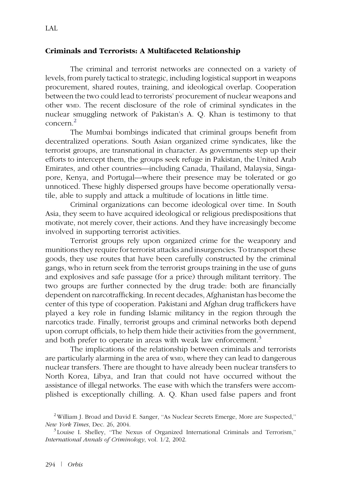# Criminals and Terrorists: A Multifaceted Relationship

The criminal and terrorist networks are connected on a variety of levels, from purely tactical to strategic, including logistical support in weapons procurement, shared routes, training, and ideological overlap. Cooperation between the two could lead to terrorists' procurement of nuclear weapons and other WMD. The recent disclosure of the role of criminal syndicates in the nuclear smuggling network of Pakistan's A. Q. Khan is testimony to that concern.2

The Mumbai bombings indicated that criminal groups benefit from decentralized operations. South Asian organized crime syndicates, like the terrorist groups, are transnational in character. As governments step up their efforts to intercept them, the groups seek refuge in Pakistan, the United Arab Emirates, and other countries—including Canada, Thailand, Malaysia, Singapore, Kenya, and Portugal—where their presence may be tolerated or go unnoticed. These highly dispersed groups have become operationally versatile, able to supply and attack a multitude of locations in little time.

Criminal organizations can become ideological over time. In South Asia, they seem to have acquired ideological or religious predispositions that motivate, not merely cover, their actions. And they have increasingly become involved in supporting terrorist activities.

Terrorist groups rely upon organized crime for the weaponry and munitions they require for terrorist attacks and insurgencies. To transport these goods, they use routes that have been carefully constructed by the criminal gangs, who in return seek from the terrorist groups training in the use of guns and explosives and safe passage (for a price) through militant territory. The two groups are further connected by the drug trade: both are financially dependent on narcotrafficking. In recent decades, Afghanistan has become the center of this type of cooperation. Pakistani and Afghan drug traffickers have played a key role in funding Islamic militancy in the region through the narcotics trade. Finally, terrorist groups and criminal networks both depend upon corrupt officials, to help them hide their activities from the government, and both prefer to operate in areas with weak law enforcement.<sup>3</sup>

The implications of the relationship between criminals and terrorists are particularly alarming in the area of WMD, where they can lead to dangerous nuclear transfers. There are thought to have already been nuclear transfers to North Korea, Libya, and Iran that could not have occurred without the assistance of illegal networks. The ease with which the transfers were accomplished is exceptionally chilling. A. Q. Khan used false papers and front

<sup>2</sup> William J. Broad and David E. Sanger, ''As Nuclear Secrets Emerge, More are Suspected,'' New York Times, Dec. 26, 2004.<br><sup>3</sup> Louise I. Shelley, "The Nexus of Organized International Criminals and Terrorism,"

International Annals of Criminology, vol. 1/2, 2002.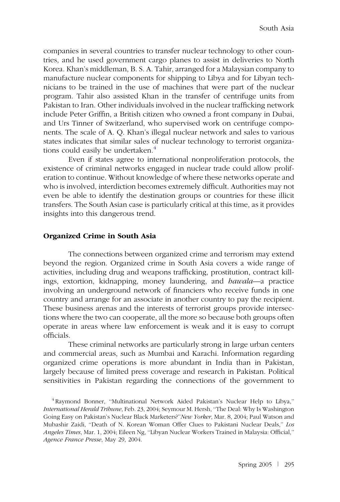companies in several countries to transfer nuclear technology to other countries, and he used government cargo planes to assist in deliveries to North Korea. Khan's middleman, B. S. A. Tahir, arranged for a Malaysian company to manufacture nuclear components for shipping to Libya and for Libyan technicians to be trained in the use of machines that were part of the nuclear program. Tahir also assisted Khan in the transfer of centrifuge units from Pakistan to Iran. Other individuals involved in the nuclear trafficking network include Peter Griffin, a British citizen who owned a front company in Dubai, and Urs Tinner of Switzerland, who supervised work on centrifuge components. The scale of A. Q. Khan's illegal nuclear network and sales to various states indicates that similar sales of nuclear technology to terrorist organizations could easily be undertaken.<sup>4</sup>

Even if states agree to international nonproliferation protocols, the existence of criminal networks engaged in nuclear trade could allow proliferation to continue. Without knowledge of where these networks operate and who is involved, interdiction becomes extremely difficult. Authorities may not even be able to identify the destination groups or countries for these illicit transfers. The South Asian case is particularly critical at this time, as it provides insights into this dangerous trend.

### Organized Crime in South Asia

The connections between organized crime and terrorism may extend beyond the region. Organized crime in South Asia covers a wide range of activities, including drug and weapons trafficking, prostitution, contract killings, extortion, kidnapping, money laundering, and hawala—a practice involving an underground network of financiers who receive funds in one country and arrange for an associate in another country to pay the recipient. These business arenas and the interests of terrorist groups provide intersections where the two can cooperate, all the more so because both groups often operate in areas where law enforcement is weak and it is easy to corrupt officials.

These criminal networks are particularly strong in large urban centers and commercial areas, such as Mumbai and Karachi. Information regarding organized crime operations is more abundant in India than in Pakistan, largely because of limited press coverage and research in Pakistan. Political sensitivities in Pakistan regarding the connections of the government to

<sup>4</sup> Raymond Bonner, ''Multinational Network Aided Pakistan's Nuclear Help to Libya,'' International Herald Tribune, Feb. 23, 2004; Seymour M. Hersh, ''The Deal: Why Is Washington Going Easy on Pakistan's Nuclear Black Marketers?''New Yorker, Mar. 8, 2004; Paul Watson and Mubashir Zaidi, ''Death of N. Korean Woman Offer Clues to Pakistani Nuclear Deals,'' Los Angeles Times, Mar. 1, 2004; Eileen Ng, ''Libyan Nuclear Workers Trained in Malaysia: Official,'' Agence France Presse, May 29, 2004.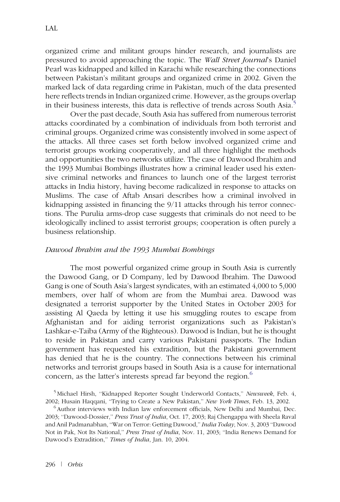organized crime and militant groups hinder research, and journalists are pressured to avoid approaching the topic. The Wall Street Journal's Daniel Pearl was kidnapped and killed in Karachi while researching the connections between Pakistan's militant groups and organized crime in 2002. Given the marked lack of data regarding crime in Pakistan, much of the data presented here reflects trends in Indian organized crime. However, as the groups overlap in their business interests, this data is reflective of trends across South Asia.<sup>5</sup>

Over the past decade, South Asia has suffered from numerous terrorist attacks coordinated by a combination of individuals from both terrorist and criminal groups. Organized crime was consistently involved in some aspect of the attacks. All three cases set forth below involved organized crime and terrorist groups working cooperatively, and all three highlight the methods and opportunities the two networks utilize. The case of Dawood Ibrahim and the 1993 Mumbai Bombings illustrates how a criminal leader used his extensive criminal networks and finances to launch one of the largest terrorist attacks in India history, having become radicalized in response to attacks on Muslims. The case of Aftab Ansari describes how a criminal involved in kidnapping assisted in financing the 9/11 attacks through his terror connections. The Purulia arms-drop case suggests that criminals do not need to be ideologically inclined to assist terrorist groups; cooperation is often purely a business relationship.

# Dawood Ibrahim and the 1993 Mumbai Bombings

The most powerful organized crime group in South Asia is currently the Dawood Gang, or D Company, led by Dawood Ibrahim. The Dawood Gang is one of South Asia's largest syndicates, with an estimated 4,000 to 5,000 members, over half of whom are from the Mumbai area. Dawood was designated a terrorist supporter by the United States in October 2003 for assisting Al Qaeda by letting it use his smuggling routes to escape from Afghanistan and for aiding terrorist organizations such as Pakistan's Lashkar-e-Taiba (Army of the Righteous). Dawood is Indian, but he is thought to reside in Pakistan and carry various Pakistani passports. The Indian government has requested his extradition, but the Pakistani government has denied that he is the country. The connections between his criminal networks and terrorist groups based in South Asia is a cause for international concern, as the latter's interests spread far beyond the region.<sup>6</sup>

<sup>&</sup>lt;sup>5</sup> Michael Hirsh, "Kidnapped Reporter Sought Underworld Contacts," Newsweek, Feb. 4, 2002; Husain Haqqani, ''Trying to Create a New Pakistan,'' New York Times, Feb. 13, 2002.

<sup>6</sup> Author interviews with Indian law enforcement officials, New Delhi and Mumbai, Dec. 2003; ''Dawood-Dossier,'' Press Trust of India, Oct. 17, 2003; Raj Chengappa with Sheela Raval and Anil Padmanabhan, ''War on Terror: Getting Dawood,'' India Today, Nov. 3, 2003 ''Dawood Not in Pak, Not Its National,'' Press Trust of India, Nov. 11, 2003; ''India Renews Demand for Dawood's Extradition," Times of India, Jan. 10, 2004.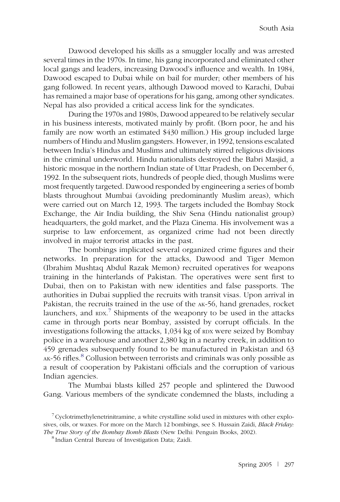Dawood developed his skills as a smuggler locally and was arrested several times in the 1970s. In time, his gang incorporated and eliminated other local gangs and leaders, increasing Dawood's influence and wealth. In 1984, Dawood escaped to Dubai while on bail for murder; other members of his gang followed. In recent years, although Dawood moved to Karachi, Dubai has remained a major base of operations for his gang, among other syndicates. Nepal has also provided a critical access link for the syndicates.

During the 1970s and 1980s, Dawood appeared to be relatively secular in his business interests, motivated mainly by profit. (Born poor, he and his family are now worth an estimated \$430 million.) His group included large numbers of Hindu and Muslim gangsters. However, in 1992, tensions escalated between India's Hindus and Muslims and ultimately stirred religious divisions in the criminal underworld. Hindu nationalists destroyed the Babri Masjid, a historic mosque in the northern Indian state of Uttar Pradesh, on December 6, 1992. In the subsequent riots, hundreds of people died, though Muslims were most frequently targeted. Dawood responded by engineering a series of bomb blasts throughout Mumbai (avoiding predominantly Muslim areas), which were carried out on March 12, 1993. The targets included the Bombay Stock Exchange, the Air India building, the Shiv Sena (Hindu nationalist group) headquarters, the gold market, and the Plaza Cinema. His involvement was a surprise to law enforcement, as organized crime had not been directly involved in major terrorist attacks in the past.

The bombings implicated several organized crime figures and their networks. In preparation for the attacks, Dawood and Tiger Memon (Ibrahim Mushtaq Abdul Razak Memon) recruited operatives for weapons training in the hinterlands of Pakistan. The operatives were sent first to Dubai, then on to Pakistan with new identities and false passports. The authorities in Dubai supplied the recruits with transit visas. Upon arrival in Pakistan, the recruits trained in the use of the AK-56, hand grenades, rocket launchers, and  $\text{RDX}^7$  Shipments of the weaponry to be used in the attacks came in through ports near Bombay, assisted by corrupt officials. In the investigations following the attacks, 1,034 kg of RDX were seized by Bombay police in a warehouse and another 2,380 kg in a nearby creek, in addition to 459 grenades subsequently found to be manufactured in Pakistan and 63  $AK-56$  rifles.<sup>8</sup> Collusion between terrorists and criminals was only possible as a result of cooperation by Pakistani officials and the corruption of various Indian agencies.

The Mumbai blasts killed 257 people and splintered the Dawood Gang. Various members of the syndicate condemned the blasts, including a

 $\sigma$  Cyclotrimethylenetrinitramine, a white crystalline solid used in mixtures with other explosives, oils, or waxes. For more on the March 12 bombings, see S. Hussain Zaidi, Black Friday: The True Story of the Bombay Bomb Blasts (New Delhi: Penguin Books, 2002). <sup>8</sup> Indian Central Bureau of Investigation Data; Zaidi.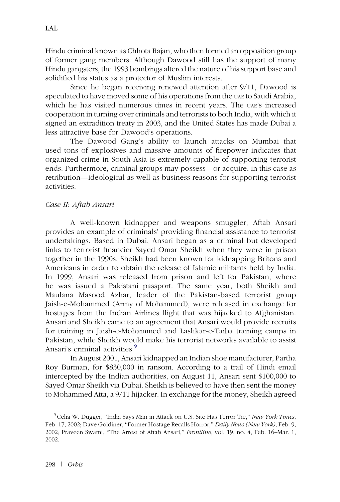Hindu criminal known as Chhota Rajan, who then formed an opposition group of former gang members. Although Dawood still has the support of many Hindu gangsters, the 1993 bombings altered the nature of his support base and solidified his status as a protector of Muslim interests.

Since he began receiving renewed attention after 9/11, Dawood is speculated to have moved some of his operations from the UAE to Saudi Arabia, which he has visited numerous times in recent years. The UAE's increased cooperation in turning over criminals and terrorists to both India, with which it signed an extradition treaty in 2003, and the United States has made Dubai a less attractive base for Dawood's operations.

The Dawood Gang's ability to launch attacks on Mumbai that used tons of explosives and massive amounts of firepower indicates that organized crime in South Asia is extremely capable of supporting terrorist ends. Furthermore, criminal groups may possess—or acquire, in this case as retribution—ideological as well as business reasons for supporting terrorist activities.

### Case II: Aftab Ansari

A well-known kidnapper and weapons smuggler, Aftab Ansari provides an example of criminals' providing financial assistance to terrorist undertakings. Based in Dubai, Ansari began as a criminal but developed links to terrorist financier Sayed Omar Sheikh when they were in prison together in the 1990s. Sheikh had been known for kidnapping Britons and Americans in order to obtain the release of Islamic militants held by India. In 1999, Ansari was released from prison and left for Pakistan, where he was issued a Pakistani passport. The same year, both Sheikh and Maulana Masood Azhar, leader of the Pakistan-based terrorist group Jaish-e-Mohammed (Army of Mohammed), were released in exchange for hostages from the Indian Airlines flight that was hijacked to Afghanistan. Ansari and Sheikh came to an agreement that Ansari would provide recruits for training in Jaish-e-Mohammed and Lashkar-e-Taiba training camps in Pakistan, while Sheikh would make his terrorist networks available to assist Ansari's criminal activities.<sup>9</sup>

In August 2001, Ansari kidnapped an Indian shoe manufacturer, Partha Roy Burman, for \$830,000 in ransom. According to a trail of Hindi email intercepted by the Indian authorities, on August 11, Ansari sent \$100,000 to Sayed Omar Sheikh via Dubai. Sheikh is believed to have then sent the money to Mohammed Atta, a 9/11 hijacker. In exchange for the money, Sheikh agreed

<sup>&</sup>lt;sup>9</sup> Celia W. Dugger, "India Says Man in Attack on U.S. Site Has Terror Tie," New York Times, Feb. 17, 2002; Dave Goldiner, "Former Hostage Recalls Horror," Daily News (New York), Feb. 9, 2002; Praveen Swami, ''The Arrest of Aftab Ansari,'' Frontline, vol. 19, no. 4, Feb. 16–Mar. 1, 2002.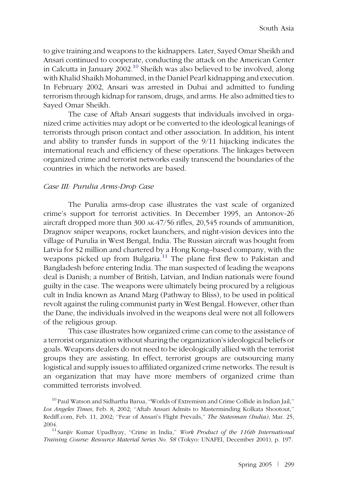to give training and weapons to the kidnappers. Later, Sayed Omar Sheikh and Ansari continued to cooperate, conducting the attack on the American Center in Calcutta in January 2002.10 Sheikh was also believed to be involved, along with Khalid Shaikh Mohammed, in the Daniel Pearl kidnapping and execution. In February 2002, Ansari was arrested in Dubai and admitted to funding terrorism through kidnap for ransom, drugs, and arms. He also admitted ties to Sayed Omar Sheikh.

The case of Aftab Ansari suggests that individuals involved in organized crime activities may adopt or be converted to the ideological leanings of terrorists through prison contact and other association. In addition, his intent and ability to transfer funds in support of the 9/11 hijacking indicates the international reach and efficiency of these operations. The linkages between organized crime and terrorist networks easily transcend the boundaries of the countries in which the networks are based.

### Case III: Purulia Arms-Drop Case

The Purulia arms-drop case illustrates the vast scale of organized crime's support for terrorist activities. In December 1995, an Antonov-26 aircraft dropped more than 300 AK-47/56 rifles, 20,545 rounds of ammunition, Dragnov sniper weapons, rocket launchers, and night-vision devices into the village of Purulia in West Bengal, India. The Russian aircraft was bought from Latvia for \$2 million and chartered by a Hong Kong–based company, with the weapons picked up from Bulgaria.<sup>11</sup> The plane first flew to Pakistan and Bangladesh before entering India. The man suspected of leading the weapons deal is Danish; a number of British, Latvian, and Indian nationals were found guilty in the case. The weapons were ultimately being procured by a religious cult in India known as Anand Marg (Pathway to Bliss), to be used in political revolt against the ruling communist party in West Bengal. However, other than the Dane, the individuals involved in the weapons deal were not all followers of the religious group.

This case illustrates how organized crime can come to the assistance of a terrorist organization without sharing the organization's ideological beliefs or goals. Weapons dealers do not need to be ideologically allied with the terrorist groups they are assisting. In effect, terrorist groups are outsourcing many logistical and supply issues to affiliated organized crime networks. The result is an organization that may have more members of organized crime than committed terrorists involved.

 $^{10}$  Paul Watson and Sidhartha Barua, "Worlds of Extremism and Crime Collide in Indian Jail," Los Angeles Times, Feb. 8, 2002; ''Aftab Ansari Admits to Masterminding Kolkata Shootout,'' Rediff.com, Feb. 11, 2002; ''Fear of Ansari's Flight Prevails,'' The Statesman (India), Mar. 25,

2004. <sup>11</sup> Sanjiv Kumar Upadhyay, ''Crime in India,'' Work Product of the 116th International Training Course: Resource Material Series No. 58 (Tokyo: UNAFEI, December 2001), p. 197.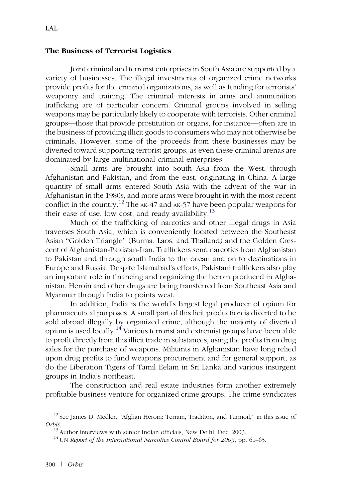### The Business of Terrorist Logistics

Joint criminal and terrorist enterprises in South Asia are supported by a variety of businesses. The illegal investments of organized crime networks provide profits for the criminal organizations, as well as funding for terrorists' weaponry and training. The criminal interests in arms and ammunition trafficking are of particular concern. Criminal groups involved in selling weapons may be particularly likely to cooperate with terrorists. Other criminal groups—those that provide prostitution or organs, for instance—often are in the business of providing illicit goods to consumers who may not otherwise be criminals. However, some of the proceeds from these businesses may be diverted toward supporting terrorist groups, as even these criminal arenas are dominated by large multinational criminal enterprises.

Small arms are brought into South Asia from the West, through Afghanistan and Pakistan, and from the east, originating in China. A large quantity of small arms entered South Asia with the advent of the war in Afghanistan in the 1980s, and more arms were brought in with the most recent conflict in the country.<sup>12</sup> The  $AK-47$  and  $AK-57$  have been popular weapons for their ease of use, low cost, and ready availability.<sup>13</sup>

Much of the trafficking of narcotics and other illegal drugs in Asia traverses South Asia, which is conveniently located between the Southeast Asian ''Golden Triangle'' (Burma, Laos, and Thailand) and the Golden Crescent of Afghanistan-Pakistan-Iran. Traffickers send narcotics from Afghanistan to Pakistan and through south India to the ocean and on to destinations in Europe and Russia. Despite Islamabad's efforts, Pakistani traffickers also play an important role in financing and organizing the heroin produced in Afghanistan. Heroin and other drugs are being transferred from Southeast Asia and Myanmar through India to points west.

In addition, India is the world's largest legal producer of opium for pharmaceutical purposes. A small part of this licit production is diverted to be sold abroad illegally by organized crime, although the majority of diverted opium is used locally.14 Various terrorist and extremist groups have been able to profit directly from this illicit trade in substances, using the profits from drug sales for the purchase of weapons. Militants in Afghanistan have long relied upon drug profits to fund weapons procurement and for general support, as do the Liberation Tigers of Tamil Eelam in Sri Lanka and various insurgent groups in India's northeast.

The construction and real estate industries form another extremely profitable business venture for organized crime groups. The crime syndicates

 $12$  See James D. Medler, "Afghan Heroin: Terrain, Tradition, and Turmoil," in this issue of

Orbis.<br><sup>13</sup> Author interviews with senior Indian officials, New Delhi, Dec. 2003.<br><sup>14</sup> UN *Report of the International Narcotics Control Board for 2003*, pp. 61–65.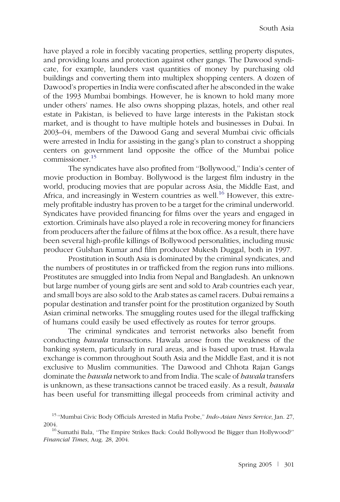have played a role in forcibly vacating properties, settling property disputes, and providing loans and protection against other gangs. The Dawood syndicate, for example, launders vast quantities of money by purchasing old buildings and converting them into multiplex shopping centers. A dozen of Dawood's properties in India were confiscated after he absconded in the wake of the 1993 Mumbai bombings. However, he is known to hold many more under others' names. He also owns shopping plazas, hotels, and other real estate in Pakistan, is believed to have large interests in the Pakistan stock market, and is thought to have multiple hotels and businesses in Dubai. In 2003–04, members of the Dawood Gang and several Mumbai civic officials were arrested in India for assisting in the gang's plan to construct a shopping centers on government land opposite the office of the Mumbai police commissioner.<sup>15</sup>

The syndicates have also profited from ''Bollywood,'' India's center of movie production in Bombay. Bollywood is the largest film industry in the world, producing movies that are popular across Asia, the Middle East, and Africa, and increasingly in Western countries as well.<sup>16</sup> However, this extremely profitable industry has proven to be a target for the criminal underworld. Syndicates have provided financing for films over the years and engaged in extortion. Criminals have also played a role in recovering money for financiers from producers after the failure of films at the box office. As a result, there have been several high-profile killings of Bollywood personalities, including music producer Gulshan Kumar and film producer Mukesh Duggal, both in 1997.

Prostitution in South Asia is dominated by the criminal syndicates, and the numbers of prostitutes in or trafficked from the region runs into millions. Prostitutes are smuggled into India from Nepal and Bangladesh. An unknown but large number of young girls are sent and sold to Arab countries each year, and small boys are also sold to the Arab states as camel racers. Dubai remains a popular destination and transfer point for the prostitution organized by South Asian criminal networks. The smuggling routes used for the illegal trafficking of humans could easily be used effectively as routes for terror groups.

The criminal syndicates and terrorist networks also benefit from conducting hawala transactions. Hawala arose from the weakness of the banking system, particularly in rural areas, and is based upon trust. Hawala exchange is common throughout South Asia and the Middle East, and it is not exclusive to Muslim communities. The Dawood and Chhota Rajan Gangs dominate the *hawala* network to and from India. The scale of *hawala* transfers is unknown, as these transactions cannot be traced easily. As a result, *hawala* has been useful for transmitting illegal proceeds from criminal activity and

<sup>&</sup>lt;sup>15</sup> "Mumbai Civic Body Officials Arrested in Mafia Probe," Indo-Asian News Service, Jan. 27, 2004.

<sup>&</sup>lt;sup>16</sup> Sumathi Bala, "The Empire Strikes Back: Could Bollywood Be Bigger than Hollywood?" Financial Times, Aug. 28, 2004.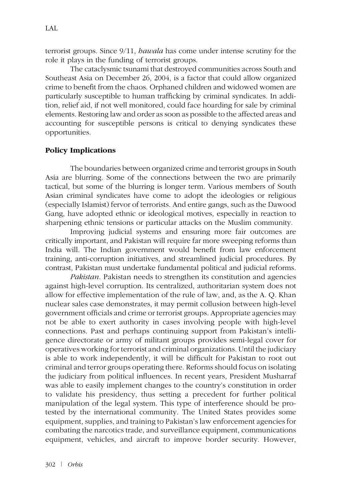terrorist groups. Since 9/11, hawala has come under intense scrutiny for the role it plays in the funding of terrorist groups.

The cataclysmic tsunami that destroyed communities across South and Southeast Asia on December 26, 2004, is a factor that could allow organized crime to benefit from the chaos. Orphaned children and widowed women are particularly susceptible to human trafficking by criminal syndicates. In addition, relief aid, if not well monitored, could face hoarding for sale by criminal elements. Restoring law and order as soon as possible to the affected areas and accounting for susceptible persons is critical to denying syndicates these opportunities.

# Policy Implications

The boundaries between organized crime and terrorist groups in South Asia are blurring. Some of the connections between the two are primarily tactical, but some of the blurring is longer term. Various members of South Asian criminal syndicates have come to adopt the ideologies or religious (especially Islamist) fervor of terrorists. And entire gangs, such as the Dawood Gang, have adopted ethnic or ideological motives, especially in reaction to sharpening ethnic tensions or particular attacks on the Muslim community.

Improving judicial systems and ensuring more fair outcomes are critically important, and Pakistan will require far more sweeping reforms than India will. The Indian government would benefit from law enforcement training, anti-corruption initiatives, and streamlined judicial procedures. By contrast, Pakistan must undertake fundamental political and judicial reforms.

Pakistan. Pakistan needs to strengthen its constitution and agencies against high-level corruption. Its centralized, authoritarian system does not allow for effective implementation of the rule of law, and, as the A. Q. Khan nuclear sales case demonstrates, it may permit collusion between high-level government officials and crime or terrorist groups. Appropriate agencies may not be able to exert authority in cases involving people with high-level connections. Past and perhaps continuing support from Pakistan's intelligence directorate or army of militant groups provides semi-legal cover for operatives working for terrorist and criminal organizations. Until the judiciary is able to work independently, it will be difficult for Pakistan to root out criminal and terror groups operating there. Reforms should focus on isolating the judiciary from political influences. In recent years, President Musharraf was able to easily implement changes to the country's constitution in order to validate his presidency, thus setting a precedent for further political manipulation of the legal system. This type of interference should be protested by the international community. The United States provides some equipment, supplies, and training to Pakistan's law enforcement agencies for combating the narcotics trade, and surveillance equipment, communications equipment, vehicles, and aircraft to improve border security. However,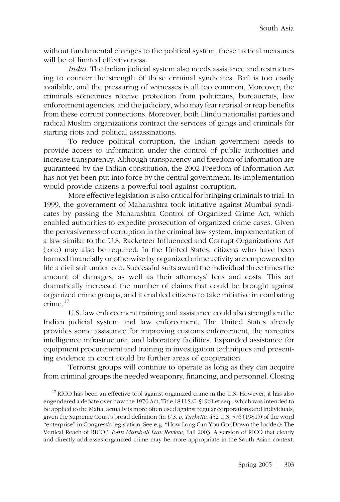without fundamental changes to the political system, these tactical measures will be of limited effectiveness.

India. The Indian judicial system also needs assistance and restructuring to counter the strength of these criminal syndicates. Bail is too easily available, and the pressuring of witnesses is all too common. Moreover, the criminals sometimes receive protection from politicians, bureaucrats, law enforcement agencies, and the judiciary, who may fear reprisal or reap benefits from these corrupt connections. Moreover, both Hindu nationalist parties and radical Muslim organizations contract the services of gangs and criminals for starting riots and political assassinations.

To reduce political corruption, the Indian government needs to provide access to information under the control of public authorities and increase transparency. Although transparency and freedom of information are guaranteed by the Indian constitution, the 2002 Freedom of Information Act has not yet been put into force by the central government. Its implementation would provide citizens a powerful tool against corruption.

More effective legislation is also critical for bringing criminals to trial. In 1999, the government of Maharashtra took initiative against Mumbai syndicates by passing the Maharashtra Control of Organized Crime Act, which enabled authorities to expedite prosecution of organized crime cases. Given the pervasiveness of corruption in the criminal law system, implementation of a law similar to the U.S. Racketeer Influenced and Corrupt Organizations Act (RICO) may also be required. In the United States, citizens who have been harmed financially or otherwise by organized crime activity are empowered to file a civil suit under RICO. Successful suits award the individual three times the amount of damages, as well as their attorneys' fees and costs. This act dramatically increased the number of claims that could be brought against organized crime groups, and it enabled citizens to take initiative in combating crime.<sup>17</sup>

U.S. law enforcement training and assistance could also strengthen the Indian judicial system and law enforcement. The United States already provides some assistance for improving customs enforcement, the narcotics intelligence infrastructure, and laboratory facilities. Expanded assistance for equipment procurement and training in investigation techniques and presenting evidence in court could be further areas of cooperation.

Terrorist groups will continue to operate as long as they can acquire from criminal groups the needed weaponry, financing, and personnel. Closing

 $17$  RICO has been an effective tool against organized crime in the U.S. However, it has also engendered a debate over how the 1970 Act, Title 18 U.S.C. §1961 et seq., which was intended to be applied to the Mafia, actually is more often used against regular corporations and individuals, given the Supreme Court's broad definition (in U.S. v. Turkette, 452 U.S. 576 (1981)) of the word ''enterprise'' in Congress's legislation. See e.g. ''How Long Can You Go (Down the Ladder): The Vertical Reach of RICO,'' John Marshall Law Review, Fall 2003. A version of RICO that clearly and directly addresses organized crime may be more appropriate in the South Asian context.